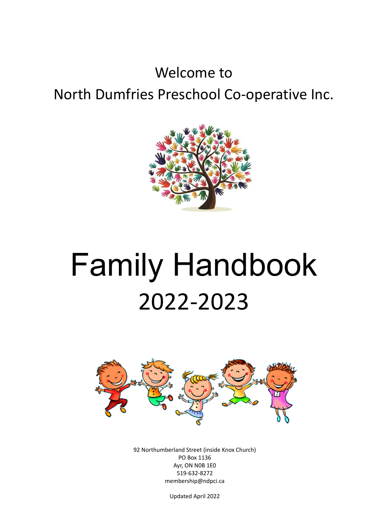## Welcome to North Dumfries Preschool Co-operative Inc.



# Family Handbook 2022-2023



92 Northumberland Street (inside Knox Church) PO Box 1136 Ayr, ON N0B 1E0 519-632-8272 membership@ndpci.ca

Updated April 2022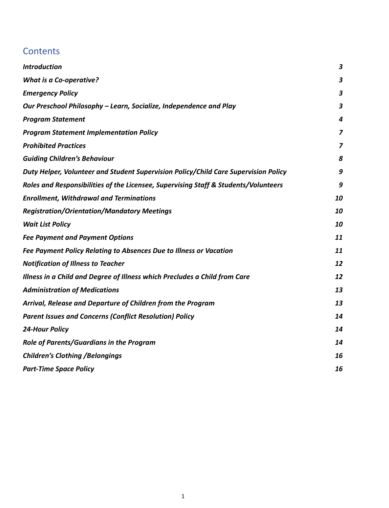## **Contents**

| <b>Introduction</b>                                                                 | $\boldsymbol{3}$        |
|-------------------------------------------------------------------------------------|-------------------------|
| <b>What is a Co-operative?</b>                                                      | $\boldsymbol{3}$        |
| <b>Emergency Policy</b>                                                             | $\boldsymbol{3}$        |
| Our Preschool Philosophy - Learn, Socialize, Independence and Play                  | $\overline{\mathbf{3}}$ |
| <b>Program Statement</b>                                                            | 4                       |
| <b>Program Statement Implementation Policy</b>                                      | $\overline{z}$          |
| <b>Prohibited Practices</b>                                                         | $\overline{z}$          |
| <b>Guiding Children's Behaviour</b>                                                 | 8                       |
| Duty Helper, Volunteer and Student Supervision Policy/Child Care Supervision Policy | 9                       |
| Roles and Responsibilities of the Licensee, Supervising Staff & Students/Volunteers | 9                       |
| <b>Enrollment, Withdrawal and Terminations</b>                                      | 10                      |
| <b>Registration/Orientation/Mandatory Meetings</b>                                  | 10                      |
| <b>Wait List Policy</b>                                                             | 10                      |
| <b>Fee Payment and Payment Options</b>                                              | 11                      |
| Fee Payment Policy Relating to Absences Due to Illness or Vacation                  | 11                      |
| <b>Notification of Illness to Teacher</b>                                           | 12                      |
| Illness in a Child and Degree of Illness which Precludes a Child from Care          | 12                      |
| <b>Administration of Medications</b>                                                | 13                      |
| Arrival, Release and Departure of Children from the Program                         | 13                      |
| <b>Parent Issues and Concerns (Conflict Resolution) Policy</b>                      | 14                      |
| <b>24-Hour Policy</b>                                                               | 14                      |
| Role of Parents/Guardians in the Program                                            | 14                      |
| <b>Children's Clothing / Belongings</b>                                             | 16                      |
| <b>Part-Time Space Policy</b>                                                       | 16                      |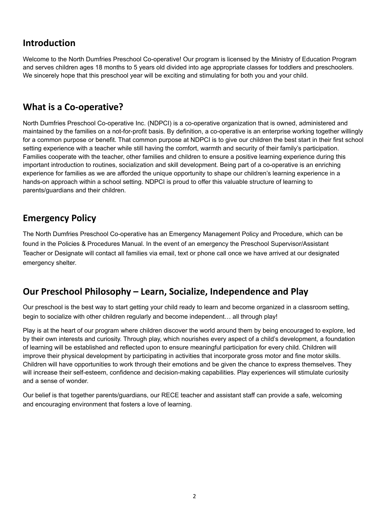## <span id="page-2-0"></span>**Introduction**

Welcome to the North Dumfries Preschool Co-operative! Our program is licensed by the Ministry of Education Program and serves children ages 18 months to 5 years old divided into age appropriate classes for toddlers and preschoolers. We sincerely hope that this preschool year will be exciting and stimulating for both you and your child.

## <span id="page-2-1"></span>**What is a Co-operative?**

North Dumfries Preschool Co-operative Inc. (NDPCI) is a co-operative organization that is owned, administered and maintained by the families on a not-for-profit basis. By definition, a co-operative is an enterprise working together willingly for a common purpose or benefit. That common purpose at NDPCI is to give our children the best start in their first school setting experience with a teacher while still having the comfort, warmth and security of their family's participation. Families cooperate with the teacher, other families and children to ensure a positive learning experience during this important introduction to routines, socialization and skill development. Being part of a co-operative is an enriching experience for families as we are afforded the unique opportunity to shape our children's learning experience in a hands-on approach within a school setting. NDPCI is proud to offer this valuable structure of learning to parents/guardians and their children.

## <span id="page-2-2"></span>**Emergency Policy**

The North Dumfries Preschool Co-operative has an Emergency Management Policy and Procedure, which can be found in the Policies & Procedures Manual. In the event of an emergency the Preschool Supervisor/Assistant Teacher or Designate will contact all families via email, text or phone call once we have arrived at our designated emergency shelter.

## <span id="page-2-3"></span>**Our Preschool Philosophy – Learn, Socialize, Independence and Play**

Our preschool is the best way to start getting your child ready to learn and become organized in a classroom setting, begin to socialize with other children regularly and become independent… all through play!

Play is at the heart of our program where children discover the world around them by being encouraged to explore, led by their own interests and curiosity. Through play, which nourishes every aspect of a child's development, a foundation of learning will be established and reflected upon to ensure meaningful participation for every child. Children will improve their physical development by participating in activities that incorporate gross motor and fine motor skills. Children will have opportunities to work through their emotions and be given the chance to express themselves. They will increase their self-esteem, confidence and decision-making capabilities. Play experiences will stimulate curiosity and a sense of wonder.

Our belief is that together parents/guardians, our RECE teacher and assistant staff can provide a safe, welcoming and encouraging environment that fosters a love of learning.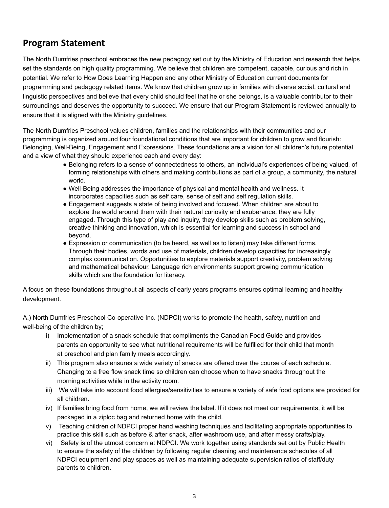## <span id="page-3-0"></span>**Program Statement**

The North Dumfries preschool embraces the new pedagogy set out by the Ministry of Education and research that helps set the standards on high quality programming. We believe that children are competent, capable, curious and rich in potential. We refer to How Does Learning Happen and any other Ministry of Education current documents for programming and pedagogy related items. We know that children grow up in families with diverse social, cultural and linguistic perspectives and believe that every child should feel that he or she belongs, is a valuable contributor to their surroundings and deserves the opportunity to succeed. We ensure that our Program Statement is reviewed annually to ensure that it is aligned with the Ministry guidelines.

The North Dumfries Preschool values children, families and the relationships with their communities and our programming is organized around four foundational conditions that are important for children to grow and flourish: Belonging, Well-Being, Engagement and Expressions. These foundations are a vision for all children's future potential and a view of what they should experience each and every day:

- Belonging refers to a sense of connectedness to others, an individual's experiences of being valued, of forming relationships with others and making contributions as part of a group, a community, the natural world.
- Well-Being addresses the importance of physical and mental health and wellness. It incorporates capacities such as self care, sense of self and self regulation skills.
- Engagement suggests a state of being involved and focused. When children are about to explore the world around them with their natural curiosity and exuberance, they are fully engaged. Through this type of play and inquiry, they develop skills such as problem solving, creative thinking and innovation, which is essential for learning and success in school and beyond.
- Expression or communication (to be heard, as well as to listen) may take different forms. Through their bodies, words and use of materials, children develop capacities for increasingly complex communication. Opportunities to explore materials support creativity, problem solving and mathematical behaviour. Language rich environments support growing communication skills which are the foundation for literacy.

A focus on these foundations throughout all aspects of early years programs ensures optimal learning and healthy development.

A.) North Dumfries Preschool Co-operative Inc. (NDPCI) works to promote the health, safety, nutrition and well-being of the children by;

- i) Implementation of a snack schedule that compliments the Canadian Food Guide and provides parents an opportunity to see what nutritional requirements will be fulfilled for their child that month at preschool and plan family meals accordingly.
- ii) This program also ensures a wide variety of snacks are offered over the course of each schedule. Changing to a free flow snack time so children can choose when to have snacks throughout the morning activities while in the activity room.
- iii) We will take into account food allergies/sensitivities to ensure a variety of safe food options are provided for all children.
- iv) If families bring food from home, we will review the label. If it does not meet our requirements, it will be packaged in a ziploc bag and returned home with the child.
- v) Teaching children of NDPCI proper hand washing techniques and facilitating appropriate opportunities to practice this skill such as before & after snack, after washroom use, and after messy crafts/play.
- vi) Safety is of the utmost concern at NDPCI. We work together using standards set out by Public Health to ensure the safety of the children by following regular cleaning and maintenance schedules of all NDPCI equipment and play spaces as well as maintaining adequate supervision ratios of staff/duty parents to children.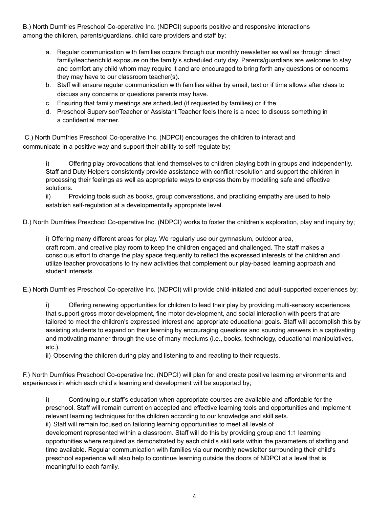B.) North Dumfries Preschool Co-operative Inc. (NDPCI) supports positive and responsive interactions among the children, parents/guardians, child care providers and staff by;

- a. Regular communication with families occurs through our monthly newsletter as well as through direct family/teacher/child exposure on the family's scheduled duty day. Parents/guardians are welcome to stay and comfort any child whom may require it and are encouraged to bring forth any questions or concerns they may have to our classroom teacher(s).
- b. Staff will ensure regular communication with families either by email, text or if time allows after class to discuss any concerns or questions parents may have.
- c. Ensuring that family meetings are scheduled (if requested by families) or if the
- d. Preschool Supervisor/Teacher or Assistant Teacher feels there is a need to discuss something in a confidential manner.

C.) North Dumfries Preschool Co-operative Inc. (NDPCI) encourages the children to interact and communicate in a positive way and support their ability to self-regulate by;

i) Offering play provocations that lend themselves to children playing both in groups and independently. Staff and Duty Helpers consistently provide assistance with conflict resolution and support the children in processing their feelings as well as appropriate ways to express them by modelling safe and effective solutions.

ii) Providing tools such as books, group conversations, and practicing empathy are used to help establish self-regulation at a developmentally appropriate level.

D.) North Dumfries Preschool Co-operative Inc. (NDPCI) works to foster the children's exploration, play and inquiry by;

i) Offering many different areas for play. We regularly use our gymnasium, outdoor area, craft room, and creative play room to keep the children engaged and challenged. The staff makes a conscious effort to change the play space frequently to reflect the expressed interests of the children and utilize teacher provocations to try new activities that complement our play-based learning approach and student interests.

E.) North Dumfries Preschool Co-operative Inc. (NDPCI) will provide child-initiated and adult-supported experiences by;

i) Offering renewing opportunities for children to lead their play by providing multi-sensory experiences that support gross motor development, fine motor development, and social interaction with peers that are tailored to meet the children's expressed interest and appropriate educational goals. Staff will accomplish this by assisting students to expand on their learning by encouraging questions and sourcing answers in a captivating and motivating manner through the use of many mediums (i.e., books, technology, educational manipulatives, etc.).

ii) Observing the children during play and listening to and reacting to their requests.

F.) North Dumfries Preschool Co-operative Inc. (NDPCI) will plan for and create positive learning environments and experiences in which each child's learning and development will be supported by;

i) Continuing our staff's education when appropriate courses are available and affordable for the preschool. Staff will remain current on accepted and effective learning tools and opportunities and implement relevant learning techniques for the children according to our knowledge and skill sets. ii) Staff will remain focused on tailoring learning opportunities to meet all levels of development represented within a classroom. Staff will do this by providing group and 1:1 learning opportunities where required as demonstrated by each child's skill sets within the parameters of staffing and time available. Regular communication with families via our monthly newsletter surrounding their child's preschool experience will also help to continue learning outside the doors of NDPCI at a level that is meaningful to each family.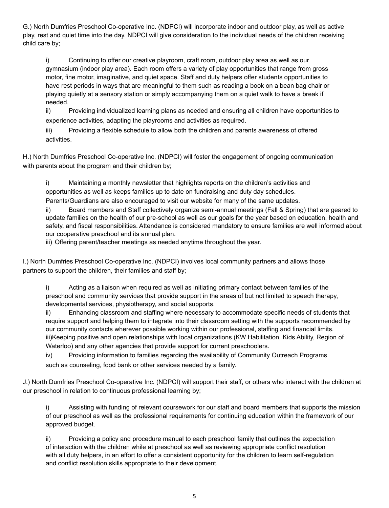G.) North Dumfries Preschool Co-operative Inc. (NDPCI) will incorporate indoor and outdoor play, as well as active play, rest and quiet time into the day. NDPCI will give consideration to the individual needs of the children receiving child care by;

i) Continuing to offer our creative playroom, craft room, outdoor play area as well as our gymnasium (indoor play area). Each room offers a variety of play opportunities that range from gross motor, fine motor, imaginative, and quiet space. Staff and duty helpers offer students opportunities to have rest periods in ways that are meaningful to them such as reading a book on a bean bag chair or playing quietly at a sensory station or simply accompanying them on a quiet walk to have a break if needed.

ii) Providing individualized learning plans as needed and ensuring all children have opportunities to experience activities, adapting the playrooms and activities as required.

iii) Providing a flexible schedule to allow both the children and parents awareness of offered activities.

H.) North Dumfries Preschool Co-operative Inc. (NDPCI) will foster the engagement of ongoing communication with parents about the program and their children by;

i) Maintaining a monthly newsletter that highlights reports on the children's activities and opportunities as well as keeps families up to date on fundraising and duty day schedules. Parents/Guardians are also encouraged to visit our website for many of the same updates.

ii) Board members and Staff collectively organize semi-annual meetings (Fall & Spring) that are geared to

update families on the health of our pre-school as well as our goals for the year based on education, health and safety, and fiscal responsibilities. Attendance is considered mandatory to ensure families are well informed about our cooperative preschool and its annual plan.

iii) Offering parent/teacher meetings as needed anytime throughout the year.

I.) North Dumfries Preschool Co-operative Inc. (NDPCI) involves local community partners and allows those partners to support the children, their families and staff by;

i) Acting as a liaison when required as well as initiating primary contact between families of the preschool and community services that provide support in the areas of but not limited to speech therapy, developmental services, physiotherapy, and social supports.

ii) Enhancing classroom and staffing where necessary to accommodate specific needs of students that require support and helping them to integrate into their classroom setting with the supports recommended by our community contacts wherever possible working within our professional, staffing and financial limits. iii)Keeping positive and open relationships with local organizations (KW Habilitation, Kids Ability, Region of Waterloo) and any other agencies that provide support for current preschoolers.

iv) Providing information to families regarding the availability of Community Outreach Programs such as counseling, food bank or other services needed by a family.

J.) North Dumfries Preschool Co-operative Inc. (NDPCI) will support their staff, or others who interact with the children at our preschool in relation to continuous professional learning by;

i) Assisting with funding of relevant coursework for our staff and board members that supports the mission of our preschool as well as the professional requirements for continuing education within the framework of our approved budget.

ii) Providing a policy and procedure manual to each preschool family that outlines the expectation of interaction with the children while at preschool as well as reviewing appropriate conflict resolution with all duty helpers, in an effort to offer a consistent opportunity for the children to learn self-regulation and conflict resolution skills appropriate to their development.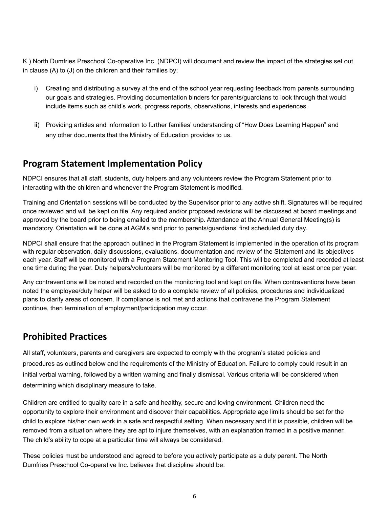K.) North Dumfries Preschool Co-operative Inc. (NDPCI) will document and review the impact of the strategies set out in clause (A) to (J) on the children and their families by;

- i) Creating and distributing a survey at the end of the school year requesting feedback from parents surrounding our goals and strategies. Providing documentation binders for parents/guardians to look through that would include items such as child's work, progress reports, observations, interests and experiences.
- ii) Providing articles and information to further families' understanding of "How Does Learning Happen" and any other documents that the Ministry of Education provides to us.

## <span id="page-6-0"></span>**Program Statement Implementation Policy**

NDPCI ensures that all staff, students, duty helpers and any volunteers review the Program Statement prior to interacting with the children and whenever the Program Statement is modified.

Training and Orientation sessions will be conducted by the Supervisor prior to any active shift. Signatures will be required once reviewed and will be kept on file. Any required and/or proposed revisions will be discussed at board meetings and approved by the board prior to being emailed to the membership. Attendance at the Annual General Meeting(s) is mandatory. Orientation will be done at AGM's and prior to parents/guardians' first scheduled duty day.

NDPCI shall ensure that the approach outlined in the Program Statement is implemented in the operation of its program with regular observation, daily discussions, evaluations, documentation and review of the Statement and its objectives each year. Staff will be monitored with a Program Statement Monitoring Tool. This will be completed and recorded at least one time during the year. Duty helpers/volunteers will be monitored by a different monitoring tool at least once per year.

Any contraventions will be noted and recorded on the monitoring tool and kept on file. When contraventions have been noted the employee/duty helper will be asked to do a complete review of all policies, procedures and individualized plans to clarify areas of concern. If compliance is not met and actions that contravene the Program Statement continue, then termination of employment/participation may occur.

## <span id="page-6-1"></span>**Prohibited Practices**

All staff, volunteers, parents and caregivers are expected to comply with the program's stated policies and procedures as outlined below and the requirements of the Ministry of Education. Failure to comply could result in an initial verbal warning, followed by a written warning and finally dismissal. Various criteria will be considered when determining which disciplinary measure to take.

Children are entitled to quality care in a safe and healthy, secure and loving environment. Children need the opportunity to explore their environment and discover their capabilities. Appropriate age limits should be set for the child to explore his/her own work in a safe and respectful setting. When necessary and if it is possible, children will be removed from a situation where they are apt to injure themselves, with an explanation framed in a positive manner. The child's ability to cope at a particular time will always be considered.

These policies must be understood and agreed to before you actively participate as a duty parent. The North Dumfries Preschool Co-operative Inc. believes that discipline should be: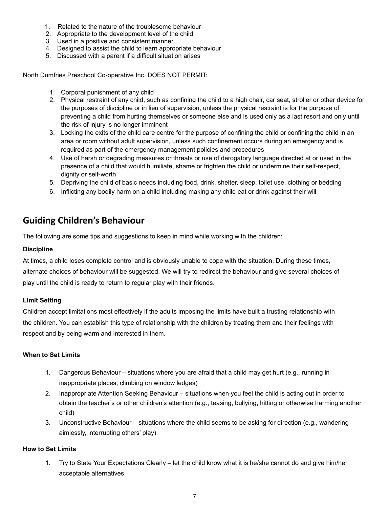- 1. Related to the nature of the troublesome behaviour
- 2. Appropriate to the development level of the child
- 3. Used in a positive and consistent manner
- 4. Designed to assist the child to learn appropriate behaviour
- 5. Discussed with a parent if a difficult situation arises

North Dumfries Preschool Co-operative Inc. DOES NOT PERMIT:

- 1. Corporal punishment of any child
- 2. Physical restraint of any child, such as confining the child to a high chair, car seat, stroller or other device for the purposes of discipline or in lieu of supervision, unless the physical restraint is for the purpose of preventing a child from hurting themselves or someone else and is used only as a last resort and only until the risk of injury is no longer imminent
- 3. Locking the exits of the child care centre for the purpose of confining the child or confining the child in an area or room without adult supervision, unless such confinement occurs during an emergency and is required as part of the emergency management policies and procedures
- 4. Use of harsh or degrading measures or threats or use of derogatory language directed at or used in the presence of a child that would humiliate, shame or frighten the child or undermine their self-respect, dignity or self-worth
- 5. Depriving the child of basic needs including food, drink, shelter, sleep, toilet use, clothing or bedding
- 6. Inflicting any bodily harm on a child including making any child eat or drink against their will

## <span id="page-7-0"></span>**Guiding Children's Behaviour**

The following are some tips and suggestions to keep in mind while working with the children:

#### **Discipline**

At times, a child loses complete control and is obviously unable to cope with the situation. During these times, alternate choices of behaviour will be suggested. We will try to redirect the behaviour and give several choices of play until the child is ready to return to regular play with their friends.

#### **Limit Setting**

Children accept limitations most effectively if the adults imposing the limits have built a trusting relationship with the children. You can establish this type of relationship with the children by treating them and their feelings with respect and by being warm and interested in them.

#### **When to Set Limits**

- 1. Dangerous Behaviour situations where you are afraid that a child may get hurt (e.g., running in inappropriate places, climbing on window ledges)
- 2. Inappropriate Attention Seeking Behaviour situations when you feel the child is acting out in order to obtain the teacher's or other children's attention (e.g., teasing, bullying, hitting or otherwise harming another child)
- 3. Unconstructive Behaviour situations where the child seems to be asking for direction (e.g., wandering aimlessly, interrupting others' play)

#### **How to Set Limits**

1. Try to State Your Expectations Clearly – let the child know what it is he/she cannot do and give him/her acceptable alternatives.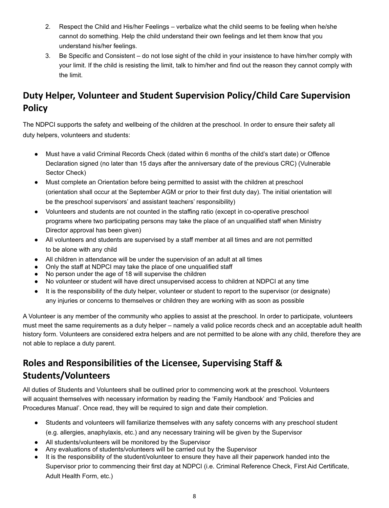- 2. Respect the Child and His/her Feelings verbalize what the child seems to be feeling when he/she cannot do something. Help the child understand their own feelings and let them know that you understand his/her feelings.
- 3. Be Specific and Consistent do not lose sight of the child in your insistence to have him/her comply with your limit. If the child is resisting the limit, talk to him/her and find out the reason they cannot comply with the limit.

## <span id="page-8-0"></span>**Duty Helper, Volunteer and Student Supervision Policy/Child Care Supervision Policy**

The NDPCI supports the safety and wellbeing of the children at the preschool. In order to ensure their safety all duty helpers, volunteers and students:

- Must have a valid Criminal Records Check (dated within 6 months of the child's start date) or Offence Declaration signed (no later than 15 days after the anniversary date of the previous CRC) (Vulnerable Sector Check)
- Must complete an Orientation before being permitted to assist with the children at preschool (orientation shall occur at the September AGM or prior to their first duty day). The initial orientation will be the preschool supervisors' and assistant teachers' responsibility)
- Volunteers and students are not counted in the staffing ratio (except in co-operative preschool programs where two participating persons may take the place of an unqualified staff when Ministry Director approval has been given)
- All volunteers and students are supervised by a staff member at all times and are not permitted to be alone with any child
- All children in attendance will be under the supervision of an adult at all times
- Only the staff at NDPCI may take the place of one unqualified staff
- No person under the age of 18 will supervise the children
- No volunteer or student will have direct unsupervised access to children at NDPCI at any time
- It is the responsibility of the duty helper, volunteer or student to report to the supervisor (or designate) any injuries or concerns to themselves or children they are working with as soon as possible

A Volunteer is any member of the community who applies to assist at the preschool. In order to participate, volunteers must meet the same requirements as a duty helper – namely a valid police records check and an acceptable adult health history form. Volunteers are considered extra helpers and are not permitted to be alone with any child, therefore they are not able to replace a duty parent.

## <span id="page-8-1"></span>**Roles and Responsibilities of the Licensee, Supervising Staff & Students/Volunteers**

All duties of Students and Volunteers shall be outlined prior to commencing work at the preschool. Volunteers will acquaint themselves with necessary information by reading the 'Family Handbook' and 'Policies and Procedures Manual'. Once read, they will be required to sign and date their completion.

- Students and volunteers will familiarize themselves with any safety concerns with any preschool student (e.g. allergies, anaphylaxis, etc.) and any necessary training will be given by the Supervisor
- All students/volunteers will be monitored by the Supervisor
- Any evaluations of students/volunteers will be carried out by the Supervisor
- It is the responsibility of the student/volunteer to ensure they have all their paperwork handed into the Supervisor prior to commencing their first day at NDPCI (i.e. Criminal Reference Check, First Aid Certificate, Adult Health Form, etc.)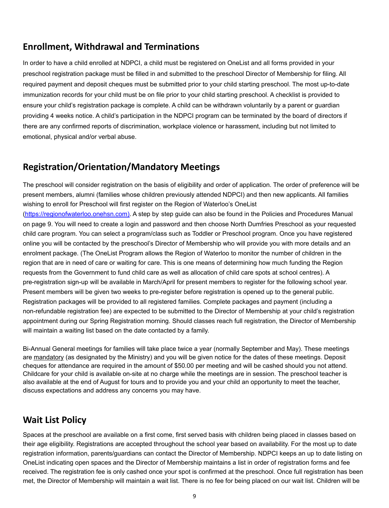## <span id="page-9-0"></span>**Enrollment, Withdrawal and Terminations**

In order to have a child enrolled at NDPCI, a child must be registered on OneList and all forms provided in your preschool registration package must be filled in and submitted to the preschool Director of Membership for filing. All required payment and deposit cheques must be submitted prior to your child starting preschool. The most up-to-date immunization records for your child must be on file prior to your child starting preschool. A checklist is provided to ensure your child's registration package is complete. A child can be withdrawn voluntarily by a parent or guardian providing 4 weeks notice. A child's participation in the NDPCI program can be terminated by the board of directors if there are any confirmed reports of discrimination, workplace violence or harassment, including but not limited to emotional, physical and/or verbal abuse.

## <span id="page-9-1"></span>**Registration/Orientation/Mandatory Meetings**

The preschool will consider registration on the basis of eligibility and order of application. The order of preference will be present members, alumni (families whose children previously attended NDPCI) and then new applicants. All families wishing to enroll for Preschool will first register on the Region of Waterloo's OneList (https://regionofwaterloo.onehsn.com). A step by step guide can also be found in the Policies and Procedures Manual on page 9. You will need to create a login and password and then choose North Dumfries Preschool as your requested child care program. You can select a program/class such as Toddler or Preschool program. Once you have registered online you will be contacted by the preschool's Director of Membership who will provide you with more details and an enrolment package. (The OneList Program allows the Region of Waterloo to monitor the number of children in the region that are in need of care or waiting for care. This is one means of determining how much funding the Region requests from the Government to fund child care as well as allocation of child care spots at school centres). A pre-registration sign-up will be available in March/April for present members to register for the following school year. Present members will be given two weeks to pre-register before registration is opened up to the general public. Registration packages will be provided to all registered families. Complete packages and payment (including a non-refundable registration fee) are expected to be submitted to the Director of Membership at your child's registration appointment during our Spring Registration morning. Should classes reach full registration, the Director of Membership will maintain a waiting list based on the date contacted by a family.

Bi-Annual General meetings for families will take place twice a year (normally September and May). These meetings are mandatory (as designated by the Ministry) and you will be given notice for the dates of these meetings. Deposit cheques for attendance are required in the amount of \$50.00 per meeting and will be cashed should you not attend. Childcare for your child is available on-site at no charge while the meetings are in session. The preschool teacher is also available at the end of August for tours and to provide you and your child an opportunity to meet the teacher, discuss expectations and address any concerns you may have.

## <span id="page-9-2"></span>**Wait List Policy**

Spaces at the preschool are available on a first come, first served basis with children being placed in classes based on their age eligibility. Registrations are accepted throughout the school year based on availability. For the most up to date registration information, parents/guardians can contact the Director of Membership. NDPCI keeps an up to date listing on OneList indicating open spaces and the Director of Membership maintains a list in order of registration forms and fee received. The registration fee is only cashed once your spot is confirmed at the preschool. Once full registration has been met, the Director of Membership will maintain a wait list. There is no fee for being placed on our wait list. Children will be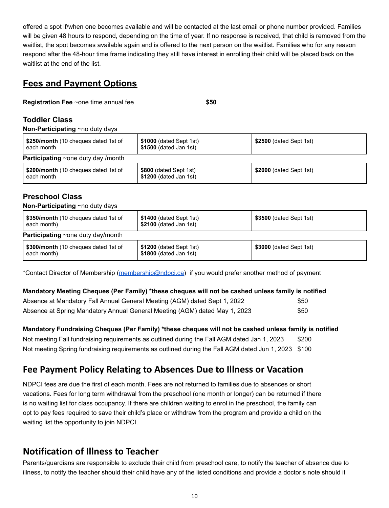offered a spot if/when one becomes available and will be contacted at the last email or phone number provided. Families will be given 48 hours to respond, depending on the time of year. If no response is received, that child is removed from the waitlist, the spot becomes available again and is offered to the next person on the waitlist. Families who for any reason respond after the 48-hour time frame indicating they still have interest in enrolling their child will be placed back on the waitlist at the end of the list.

## **Fees and Payment Options**

**Registration Fee** ~one time annual fee **\$50**

#### **Toddler Class**

**Non-Participating** ~no duty days

| \$250/month (10 cheques dated 1st of<br>each month | \$1000 (dated Sept 1st)<br>\$1500 (dated Jan 1st) | \$2500 (dated Sept 1st) |
|----------------------------------------------------|---------------------------------------------------|-------------------------|
| <b>Participating</b> $\sim$ one duty day /month    |                                                   |                         |
| \$200/month (10 cheques dated 1st of<br>each month | \$800 (dated Sept 1st)<br>\$1200 (dated Jan 1st)  | \$2000 (dated Sept 1st) |

#### **Preschool Class**

#### **Non-Participating** ~no duty days

| \$350/month (10 cheques dated 1st of<br>each month) | \$1400 (dated Sept 1st)<br>\$2100 (dated Jan 1st) | \$3500 (dated Sept 1st) |
|-----------------------------------------------------|---------------------------------------------------|-------------------------|
| <b>Participating</b> $\sim$ one duty day/month      |                                                   |                         |
| \$300/month (10 cheques dated 1st of<br>each month) | \$1200 (dated Sept 1st)<br>\$1800 (dated Jan 1st) | \$3000 (dated Sept 1st) |

\*Contact Director of Membership [\(membership@ndpci.ca](mailto:membership@ndpci.ca)) if you would prefer another method of payment

#### **Mandatory Meeting Cheques (Per Family) \*these cheques will not be cashed unless family is notified**

| Absence at Mandatory Fall Annual General Meeting (AGM) dated Sept 1, 2022  | \$50        |
|----------------------------------------------------------------------------|-------------|
| Absence at Spring Mandatory Annual General Meeting (AGM) dated May 1, 2023 | <b>\$50</b> |

**Mandatory Fundraising Cheques (Per Family) \*these cheques will not be cashed unless family is notified** Not meeting Fall fundraising requirements as outlined during the Fall AGM dated Jan 1, 2023 \$200 Not meeting Spring fundraising requirements as outlined during the Fall AGM dated Jun 1, 2023 \$100

## <span id="page-10-0"></span>**Fee Payment Policy Relating to Absences Due to Illness or Vacation**

NDPCI fees are due the first of each month. Fees are not returned to families due to absences or short vacations. Fees for long term withdrawal from the preschool (one month or longer) can be returned if there is no waiting list for class occupancy. If there are children waiting to enrol in the preschool, the family can opt to pay fees required to save their child's place or withdraw from the program and provide a child on the waiting list the opportunity to join NDPCI.

## <span id="page-10-1"></span>**Notification of Illness to Teacher**

Parents/guardians are responsible to exclude their child from preschool care, to notify the teacher of absence due to illness, to notify the teacher should their child have any of the listed conditions and provide a doctor's note should it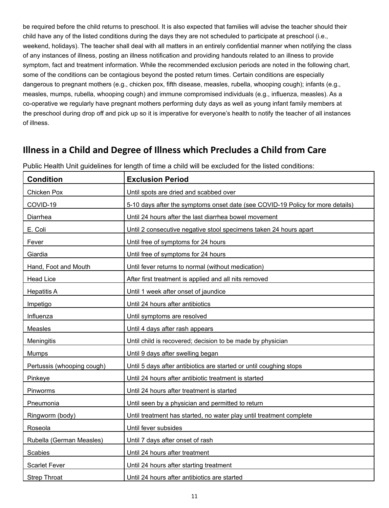be required before the child returns to preschool. It is also expected that families will advise the teacher should their child have any of the listed conditions during the days they are not scheduled to participate at preschool (i.e., weekend, holidays). The teacher shall deal with all matters in an entirely confidential manner when notifying the class of any instances of illness, posting an illness notification and providing handouts related to an illness to provide symptom, fact and treatment information. While the recommended exclusion periods are noted in the following chart, some of the conditions can be contagious beyond the posted return times. Certain conditions are especially dangerous to pregnant mothers (e.g., chicken pox, fifth disease, measles, rubella, whooping cough); infants (e.g., measles, mumps, rubella, whooping cough) and immune compromised individuals (e.g., influenza, measles). As a co-operative we regularly have pregnant mothers performing duty days as well as young infant family members at the preschool during drop off and pick up so it is imperative for everyone's health to notify the teacher of all instances of illness.

## <span id="page-11-0"></span>**Illness in a Child and Degree of Illness which Precludes a Child from Care**

| <b>Condition</b>           | <b>Exclusion Period</b>                                                        |
|----------------------------|--------------------------------------------------------------------------------|
| Chicken Pox                | Until spots are dried and scabbed over                                         |
| COVID-19                   | 5-10 days after the symptoms onset date (see COVID-19 Policy for more details) |
| Diarrhea                   | Until 24 hours after the last diarrhea bowel movement                          |
| E. Coli                    | Until 2 consecutive negative stool specimens taken 24 hours apart              |
| Fever                      | Until free of symptoms for 24 hours                                            |
| Giardia                    | Until free of symptoms for 24 hours                                            |
| Hand, Foot and Mouth       | Until fever returns to normal (without medication)                             |
| <b>Head Lice</b>           | After first treatment is applied and all nits removed                          |
| <b>Hepatitis A</b>         | Until 1 week after onset of jaundice                                           |
| Impetigo                   | Until 24 hours after antibiotics                                               |
| Influenza                  | Until symptoms are resolved                                                    |
| Measles                    | Until 4 days after rash appears                                                |
| Meningitis                 | Until child is recovered; decision to be made by physician                     |
| Mumps                      | Until 9 days after swelling began                                              |
| Pertussis (whooping cough) | Until 5 days after antibiotics are started or until coughing stops             |
| Pinkeye                    | Until 24 hours after antibiotic treatment is started                           |
| Pinworms                   | Until 24 hours after treatment is started                                      |
| Pneumonia                  | Until seen by a physician and permitted to return                              |
| Ringworm (body)            | Until treatment has started, no water play until treatment complete            |
| Roseola                    | Until fever subsides                                                           |
| Rubella (German Measles)   | Until 7 days after onset of rash                                               |
| <b>Scabies</b>             | Until 24 hours after treatment                                                 |
| <b>Scarlet Fever</b>       | Until 24 hours after starting treatment                                        |
| <b>Strep Throat</b>        | Until 24 hours after antibiotics are started                                   |

Public Health Unit guidelines for length of time a child will be excluded for the listed conditions: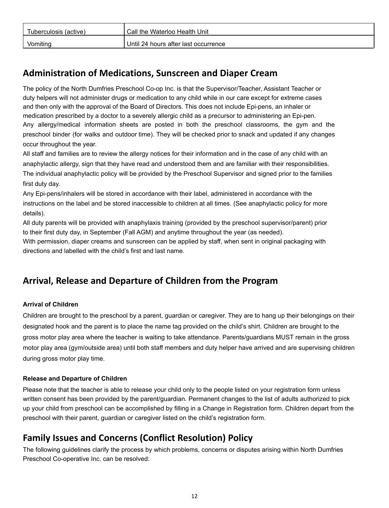| Tuberculosis (active) | Call the Waterloo Health Unit        |
|-----------------------|--------------------------------------|
| Vomiting              | Until 24 hours after last occurrence |

## <span id="page-12-0"></span>**Administration of Medications, Sunscreen and Diaper Cream**

The policy of the North Dumfries Preschool Co-op Inc. is that the Supervisor/Teacher, Assistant Teacher or duty helpers will not administer drugs or medication to any child while in our care except for extreme cases and then only with the approval of the Board of Directors. This does not include Epi-pens, an inhaler or medication prescribed by a doctor to a severely allergic child as a precursor to administering an Epi-pen. Any allergy/medical information sheets are posted in both the preschool classrooms, the gym and the preschool binder (for walks and outdoor time). They will be checked prior to snack and updated if any changes occur throughout the year.

All staff and families are to review the allergy notices for their information and in the case of any child with an anaphylactic allergy, sign that they have read and understood them and are familiar with their responsibilities. The individual anaphylactic policy will be provided by the Preschool Supervisor and signed prior to the families first duty day.

Any Epi-pens/inhalers will be stored in accordance with their label, administered in accordance with the instructions on the label and be stored inaccessible to children at all times. (See anaphylactic policy for more details).

All duty parents will be provided with anaphylaxis training (provided by the preschool supervisor/parent) prior to their first duty day, in September (Fall AGM) and anytime throughout the year (as needed). With permission, diaper creams and sunscreen can be applied by staff, when sent in original packaging with directions and labelled with the child's first and last name.

## <span id="page-12-1"></span>**Arrival, Release and Departure of Children from the Program**

#### **Arrival of Children**

Children are brought to the preschool by a parent, guardian or caregiver. They are to hang up their belongings on their designated hook and the parent is to place the name tag provided on the child's shirt. Children are brought to the gross motor play area where the teacher is waiting to take attendance. Parents/guardians MUST remain in the gross motor play area (gym/outside area) until both staff members and duty helper have arrived and are supervising children during gross motor play time.

#### **Release and Departure of Children**

Please note that the teacher is able to release your child only to the people listed on your registration form unless written consent has been provided by the parent/guardian. Permanent changes to the list of adults authorized to pick up your child from preschool can be accomplished by filling in a Change in Registration form. Children depart from the preschool with their parent, guardian or caregiver listed on the child's registration form.

## <span id="page-12-2"></span>**Family Issues and Concerns (Conflict Resolution) Policy**

The following guidelines clarify the process by which problems, concerns or disputes arising within North Dumfries Preschool Co-operative Inc. can be resolved: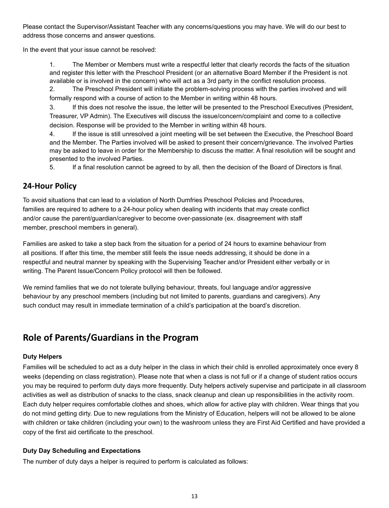Please contact the Supervisor/Assistant Teacher with any concerns/questions you may have. We will do our best to address those concerns and answer questions.

In the event that your issue cannot be resolved:

1. The Member or Members must write a respectful letter that clearly records the facts of the situation and register this letter with the Preschool President (or an alternative Board Member if the President is not available or is involved in the concern) who will act as a 3rd party in the conflict resolution process.

2. The Preschool President will initiate the problem-solving process with the parties involved and will formally respond with a course of action to the Member in writing within 48 hours.

3. If this does not resolve the issue, the letter will be presented to the Preschool Executives (President, Treasurer, VP Admin). The Executives will discuss the issue/concern/complaint and come to a collective decision. Response will be provided to the Member in writing within 48 hours.

4. If the issue is still unresolved a joint meeting will be set between the Executive, the Preschool Board and the Member. The Parties involved will be asked to present their concern/grievance. The involved Parties may be asked to leave in order for the Membership to discuss the matter. A final resolution will be sought and presented to the involved Parties.

5. If a final resolution cannot be agreed to by all, then the decision of the Board of Directors is final.

#### <span id="page-13-0"></span>**24-Hour Policy**

To avoid situations that can lead to a violation of North Dumfries Preschool Policies and Procedures, families are required to adhere to a 24-hour policy when dealing with incidents that may create conflict and/or cause the parent/guardian/caregiver to become over-passionate (ex. disagreement with staff member, preschool members in general).

Families are asked to take a step back from the situation for a period of 24 hours to examine behaviour from all positions. If after this time, the member still feels the issue needs addressing, it should be done in a respectful and neutral manner by speaking with the Supervising Teacher and/or President either verbally or in writing. The Parent Issue/Concern Policy protocol will then be followed.

We remind families that we do not tolerate bullying behaviour, threats, foul language and/or aggressive behaviour by any preschool members (including but not limited to parents, guardians and caregivers). Any such conduct may result in immediate termination of a child's participation at the board's discretion.

## <span id="page-13-1"></span>**Role of Parents/Guardians in the Program**

#### **Duty Helpers**

Families will be scheduled to act as a duty helper in the class in which their child is enrolled approximately once every 8 weeks (depending on class registration). Please note that when a class is not full or if a change of student ratios occurs you may be required to perform duty days more frequently. Duty helpers actively supervise and participate in all classroom activities as well as distribution of snacks to the class, snack cleanup and clean up responsibilities in the activity room. Each duty helper requires comfortable clothes and shoes, which allow for active play with children. Wear things that you do not mind getting dirty. Due to new regulations from the Ministry of Education, helpers will not be allowed to be alone with children or take children (including your own) to the washroom unless they are First Aid Certified and have provided a copy of the first aid certificate to the preschool.

#### **Duty Day Scheduling and Expectations**

The number of duty days a helper is required to perform is calculated as follows: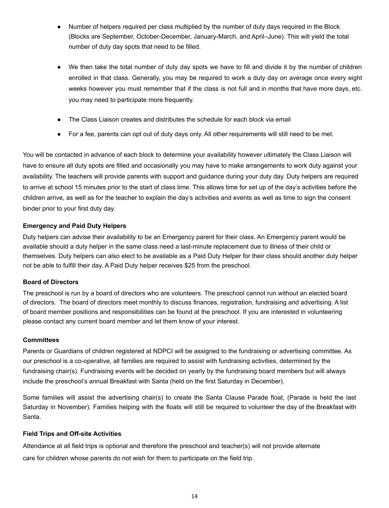- Number of helpers required per class multiplied by the number of duty days required in the Block. (Blocks are September, October-December, January-March, and April–June). This will yield the total number of duty day spots that need to be filled.
- We then take the total number of duty day spots we have to fill and divide it by the number of children enrolled in that class. Generally, you may be required to work a duty day on average once every eight weeks however you must remember that if the class is not full and in months that have more days, etc. you may need to participate more frequently.
- The Class Liaison creates and distributes the schedule for each block via email
- For a fee, parents can opt out of duty days only. All other requirements will still need to be met.

You will be contacted in advance of each block to determine your availability however ultimately the Class Liaison will have to ensure all duty spots are filled and occasionally you may have to make arrangements to work duty against your availability. The teachers will provide parents with support and guidance during your duty day. Duty helpers are required to arrive at school 15 minutes prior to the start of class time. This allows time for set up of the day's activities before the children arrive, as well as for the teacher to explain the day's activities and events as well as time to sign the consent binder prior to your first duty day.

#### **Emergency and Paid Duty Helpers**

Duty helpers can advise their availability to be an Emergency parent for their class. An Emergency parent would be available should a duty helper in the same class need a last-minute replacement due to illness of their child or themselves. Duty helpers can also elect to be available as a Paid Duty Helper for their class should another duty helper not be able to fulfill their day. A Paid Duty helper receives \$25 from the preschool.

#### **Board of Directors**

The preschool is run by a board of directors who are volunteers. The preschool cannot run without an elected board of directors. The board of directors meet monthly to discuss finances, registration, fundraising and advertising. A list of board member positions and responsibilities can be found at the preschool. If you are interested in volunteering please contact any current board member and let them know of your interest.

#### **Committees**

Parents or Guardians of children registered at NDPCI will be assigned to the fundraising or advertising committee. As our preschool is a co-operative, all families are required to assist with fundraising activities, determined by the fundraising chair(s). Fundraising events will be decided on yearly by the fundraising board members but will always include the preschool's annual Breakfast with Santa (held on the first Saturday in December).

Some families will assist the advertising chair(s) to create the Santa Clause Parade float, (Parade is held the last Saturday in November). Families helping with the floats will still be required to volunteer the day of the Breakfast with Santa.

#### **Field Trips and Off-site Activities**

Attendance at all field trips is optional and therefore the preschool and teacher(s) will not provide alternate care for children whose parents do not wish for them to participate on the field trip.